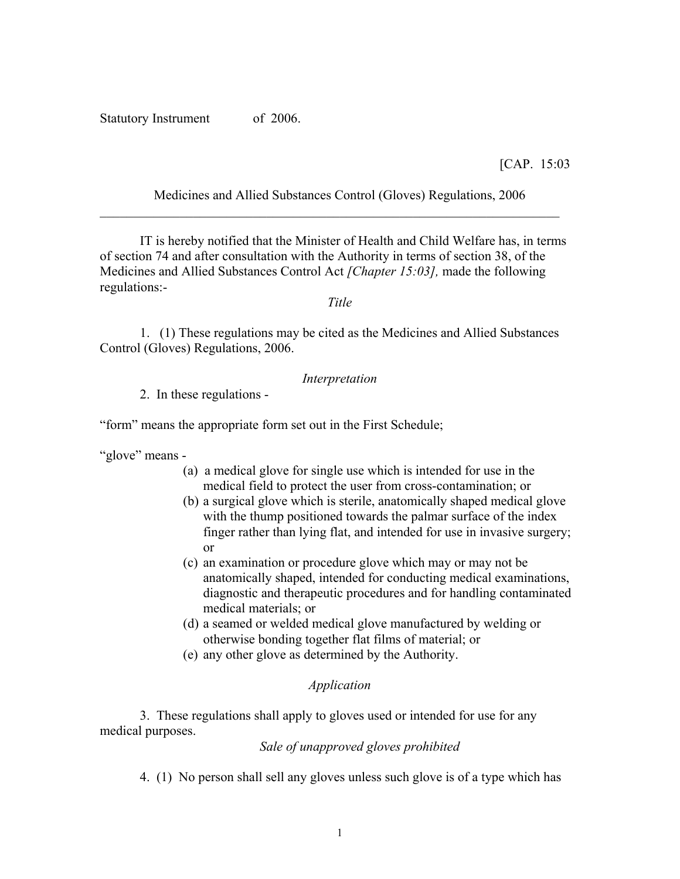Statutory Instrument of 2006.

[CAP. 15:03

Medicines and Allied Substances Control (Gloves) Regulations, 2006

IT is hereby notified that the Minister of Health and Child Welfare has, in terms of section 74 and after consultation with the Authority in terms of section 38, of the Medicines and Allied Substances Control Act *[Chapter 15:03],* made the following regulations:-

*Title*

1. (1) These regulations may be cited as the Medicines and Allied Substances Control (Gloves) Regulations, 2006.

### *Interpretation*

2. In these regulations -

"form" means the appropriate form set out in the First Schedule;

"glove" means -

- (a) a medical glove for single use which is intended for use in the medical field to protect the user from cross-contamination; or
- (b) a surgical glove which is sterile, anatomically shaped medical glove with the thump positioned towards the palmar surface of the index finger rather than lying flat, and intended for use in invasive surgery; or
- (c) an examination or procedure glove which may or may not be anatomically shaped, intended for conducting medical examinations, diagnostic and therapeutic procedures and for handling contaminated medical materials; or
- (d) a seamed or welded medical glove manufactured by welding or otherwise bonding together flat films of material; or
- (e) any other glove as determined by the Authority.

#### *Application*

 3. These regulations shall apply to gloves used or intended for use for any medical purposes.

*Sale of unapproved gloves prohibited* 

4. (1) No person shall sell any gloves unless such glove is of a type which has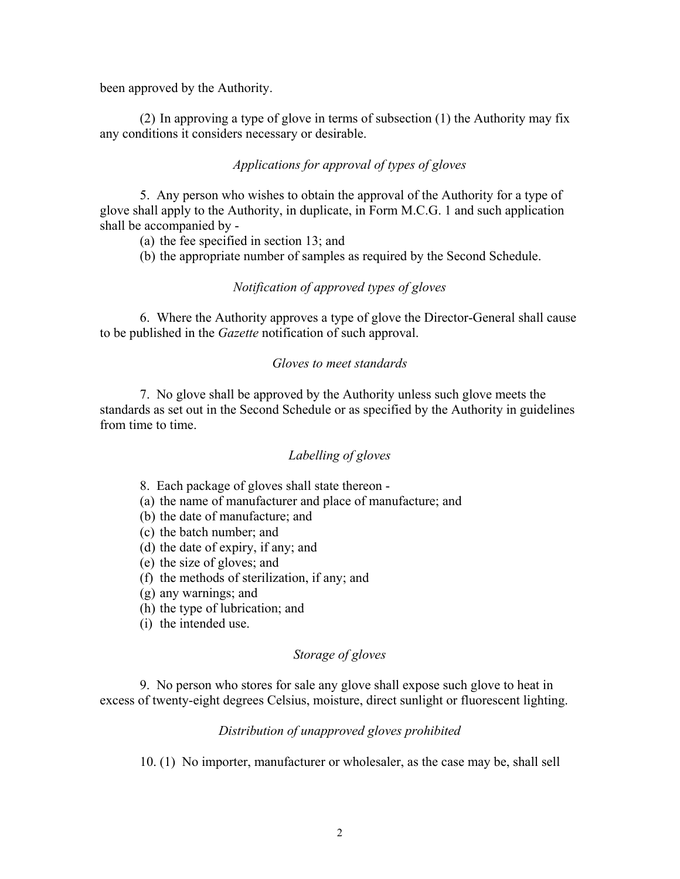been approved by the Authority.

(2) In approving a type of glove in terms of subsection (1) the Authority may fix any conditions it considers necessary or desirable.

## *Applications for approval of types of gloves*

5. Any person who wishes to obtain the approval of the Authority for a type of glove shall apply to the Authority, in duplicate, in Form M.C.G. 1 and such application shall be accompanied by -

(a) the fee specified in section 13; and

(b) the appropriate number of samples as required by the Second Schedule.

#### *Notification of approved types of gloves*

6. Where the Authority approves a type of glove the Director-General shall cause to be published in the *Gazette* notification of such approval.

#### *Gloves to meet standards*

7. No glove shall be approved by the Authority unless such glove meets the standards as set out in the Second Schedule or as specified by the Authority in guidelines from time to time.

#### *Labelling of gloves*

8. Each package of gloves shall state thereon -

- (a) the name of manufacturer and place of manufacture; and
- (b) the date of manufacture; and
- (c) the batch number; and
- (d) the date of expiry, if any; and
- (e) the size of gloves; and
- (f) the methods of sterilization, if any; and
- (g) any warnings; and
- (h) the type of lubrication; and
- (i) the intended use.

### *Storage of gloves*

9. No person who stores for sale any glove shall expose such glove to heat in excess of twenty-eight degrees Celsius, moisture, direct sunlight or fluorescent lighting.

#### *Distribution of unapproved gloves prohibited*

10. (1) No importer, manufacturer or wholesaler, as the case may be, shall sell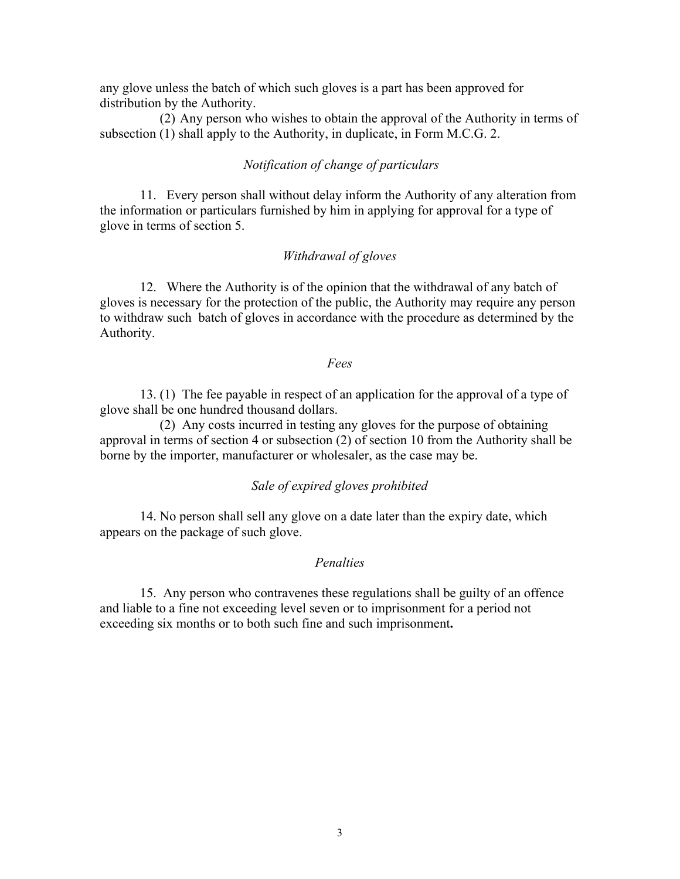any glove unless the batch of which such gloves is a part has been approved for distribution by the Authority.

(2) Any person who wishes to obtain the approval of the Authority in terms of subsection (1) shall apply to the Authority, in duplicate, in Form M.C.G. 2.

#### *Notification of change of particulars*

11. Every person shall without delay inform the Authority of any alteration from the information or particulars furnished by him in applying for approval for a type of glove in terms of section 5.

## *Withdrawal of gloves*

12. Where the Authority is of the opinion that the withdrawal of any batch of gloves is necessary for the protection of the public, the Authority may require any person to withdraw such batch of gloves in accordance with the procedure as determined by the Authority.

#### *Fees*

13. (1) The fee payable in respect of an application for the approval of a type of glove shall be one hundred thousand dollars.

 (2) Any costs incurred in testing any gloves for the purpose of obtaining approval in terms of section 4 or subsection (2) of section 10 from the Authority shall be borne by the importer, manufacturer or wholesaler, as the case may be.

#### *Sale of expired gloves prohibited*

 14. No person shall sell any glove on a date later than the expiry date, which appears on the package of such glove.

#### *Penalties*

15. Any person who contravenes these regulations shall be guilty of an offence and liable to a fine not exceeding level seven or to imprisonment for a period not exceeding six months or to both such fine and such imprisonment**.**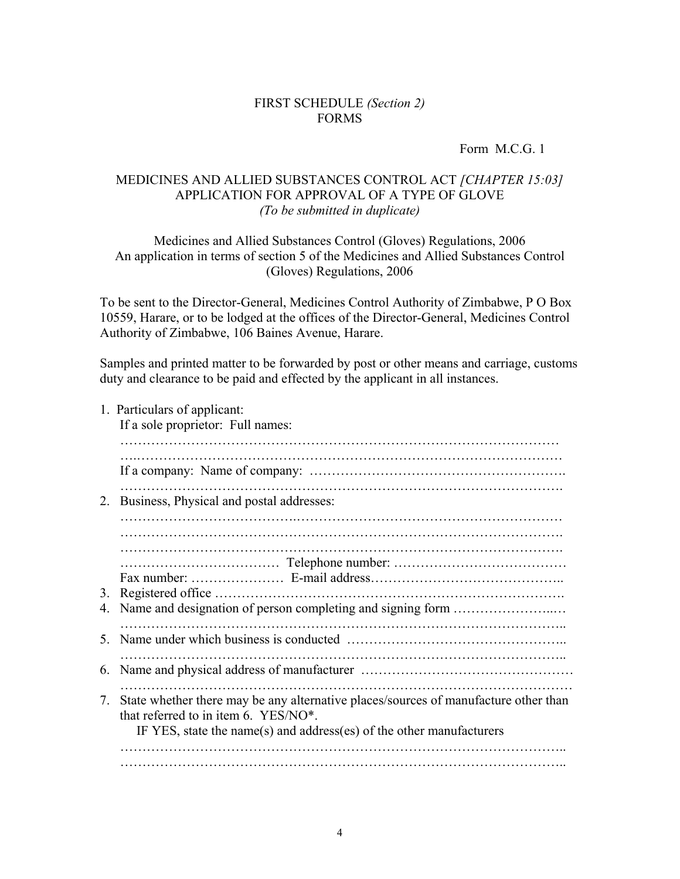## FIRST SCHEDULE *(Section 2)* FORMS

Form M.C.G. 1

## MEDICINES AND ALLIED SUBSTANCES CONTROL ACT *[CHAPTER 15:03]*  APPLICATION FOR APPROVAL OF A TYPE OF GLOVE *(To be submitted in duplicate)*

Medicines and Allied Substances Control (Gloves) Regulations, 2006 An application in terms of section 5 of the Medicines and Allied Substances Control (Gloves) Regulations, 2006

To be sent to the Director-General, Medicines Control Authority of Zimbabwe, P O Box 10559, Harare, or to be lodged at the offices of the Director-General, Medicines Control Authority of Zimbabwe, 106 Baines Avenue, Harare.

Samples and printed matter to be forwarded by post or other means and carriage, customs duty and clearance to be paid and effected by the applicant in all instances.

1. Particulars of applicant:

If a sole proprietor: Full names:

| 2.                                                               | Business, Physical and postal addresses:                                            |  |  |  |
|------------------------------------------------------------------|-------------------------------------------------------------------------------------|--|--|--|
|                                                                  |                                                                                     |  |  |  |
|                                                                  |                                                                                     |  |  |  |
|                                                                  |                                                                                     |  |  |  |
| 3.                                                               |                                                                                     |  |  |  |
| Name and designation of person completing and signing form<br>4. |                                                                                     |  |  |  |
|                                                                  |                                                                                     |  |  |  |
| 5 <sub>1</sub>                                                   |                                                                                     |  |  |  |
|                                                                  |                                                                                     |  |  |  |
| 6.                                                               |                                                                                     |  |  |  |
|                                                                  |                                                                                     |  |  |  |
| 7.                                                               | State whether there may be any alternative places/sources of manufacture other than |  |  |  |
|                                                                  | that referred to in item 6. YES/NO <sup>*</sup> .                                   |  |  |  |
|                                                                  | IF YES, state the name(s) and address(es) of the other manufacturers                |  |  |  |
|                                                                  |                                                                                     |  |  |  |
|                                                                  |                                                                                     |  |  |  |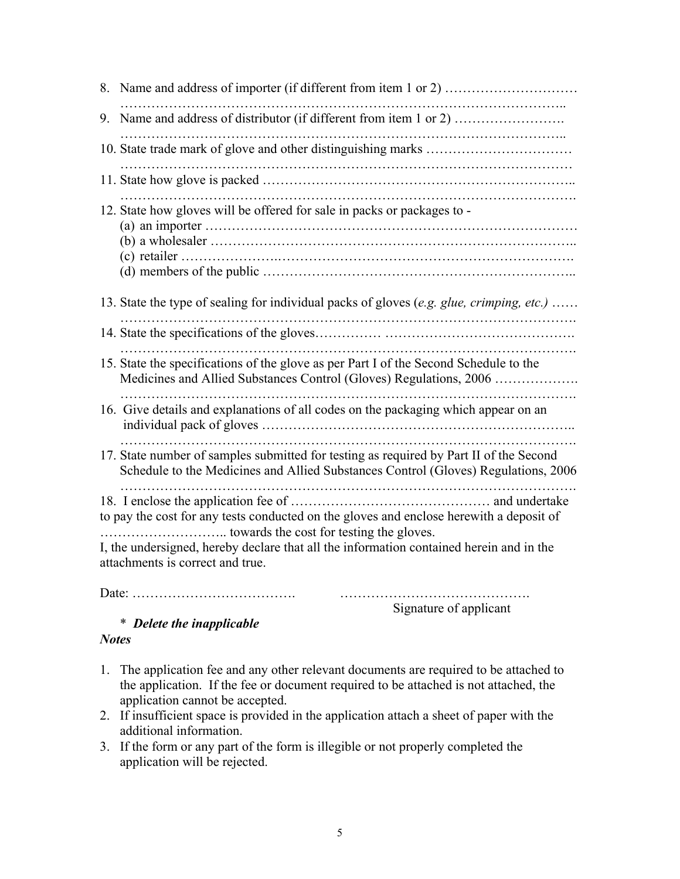| 9. Name and address of distributor (if different from item 1 or 2)                                                                                                                                                     |  |  |  |  |
|------------------------------------------------------------------------------------------------------------------------------------------------------------------------------------------------------------------------|--|--|--|--|
|                                                                                                                                                                                                                        |  |  |  |  |
|                                                                                                                                                                                                                        |  |  |  |  |
| 12. State how gloves will be offered for sale in packs or packages to -                                                                                                                                                |  |  |  |  |
| 13. State the type of sealing for individual packs of gloves (e.g. glue, crimping, etc.)                                                                                                                               |  |  |  |  |
|                                                                                                                                                                                                                        |  |  |  |  |
| 15. State the specifications of the glove as per Part I of the Second Schedule to the<br>Medicines and Allied Substances Control (Gloves) Regulations, 2006                                                            |  |  |  |  |
| 16. Give details and explanations of all codes on the packaging which appear on an                                                                                                                                     |  |  |  |  |
| 17. State number of samples submitted for testing as required by Part II of the Second<br>Schedule to the Medicines and Allied Substances Control (Gloves) Regulations, 2006                                           |  |  |  |  |
| to pay the cost for any tests conducted on the gloves and enclose herewith a deposit of<br>I, the undersigned, hereby declare that all the information contained herein and in the<br>attachments is correct and true. |  |  |  |  |

Date: ………………………………. …………………………………….

Signature of applicant

# \* *Delete the inapplicable*

# *Notes*

- 1. The application fee and any other relevant documents are required to be attached to the application. If the fee or document required to be attached is not attached, the application cannot be accepted.
- 2. If insufficient space is provided in the application attach a sheet of paper with the additional information.
- 3. If the form or any part of the form is illegible or not properly completed the application will be rejected.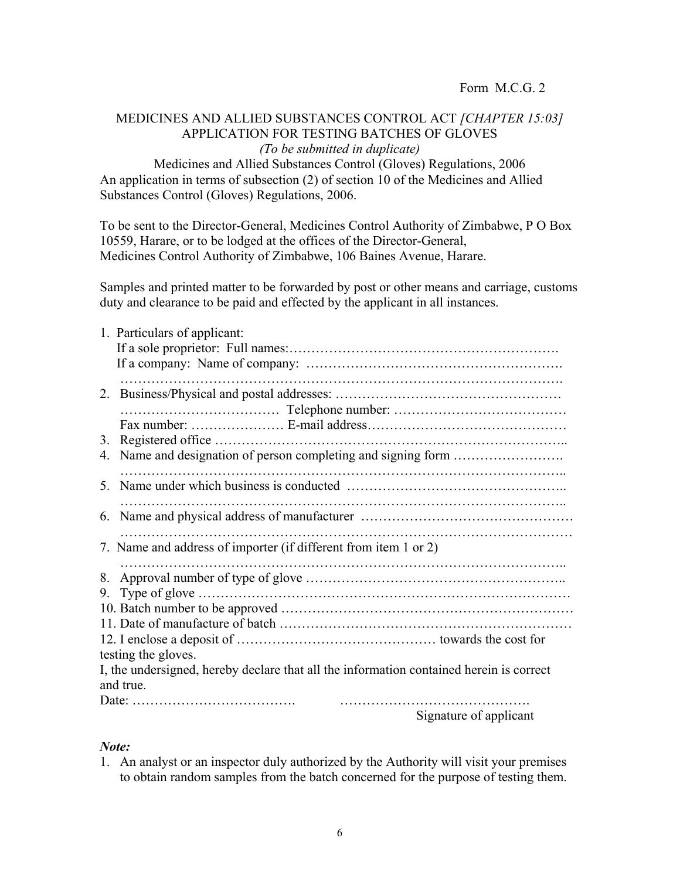Form M.C.G. 2

# MEDICINES AND ALLIED SUBSTANCES CONTROL ACT *[CHAPTER 15:03]* APPLICATION FOR TESTING BATCHES OF GLOVES *(To be submitted in duplicate)*

Medicines and Allied Substances Control (Gloves) Regulations, 2006 An application in terms of subsection (2) of section 10 of the Medicines and Allied Substances Control (Gloves) Regulations, 2006.

To be sent to the Director-General, Medicines Control Authority of Zimbabwe, P O Box 10559, Harare, or to be lodged at the offices of the Director-General, Medicines Control Authority of Zimbabwe, 106 Baines Avenue, Harare.

Samples and printed matter to be forwarded by post or other means and carriage, customs duty and clearance to be paid and effected by the applicant in all instances.

|           | 1. Particulars of applicant:                                                            |
|-----------|-----------------------------------------------------------------------------------------|
|           |                                                                                         |
|           |                                                                                         |
| 3.        |                                                                                         |
| 4.        |                                                                                         |
|           |                                                                                         |
|           |                                                                                         |
|           | 7. Name and address of importer (if different from item 1 or 2)                         |
| 8.        |                                                                                         |
| 9.        |                                                                                         |
|           |                                                                                         |
|           |                                                                                         |
|           |                                                                                         |
|           | testing the gloves.                                                                     |
|           | I, the undersigned, hereby declare that all the information contained herein is correct |
| and true. |                                                                                         |
|           |                                                                                         |
|           | Cianatura of amplitude                                                                  |

Signature of applicant

#### *Note:*

1. An analyst or an inspector duly authorized by the Authority will visit your premises to obtain random samples from the batch concerned for the purpose of testing them.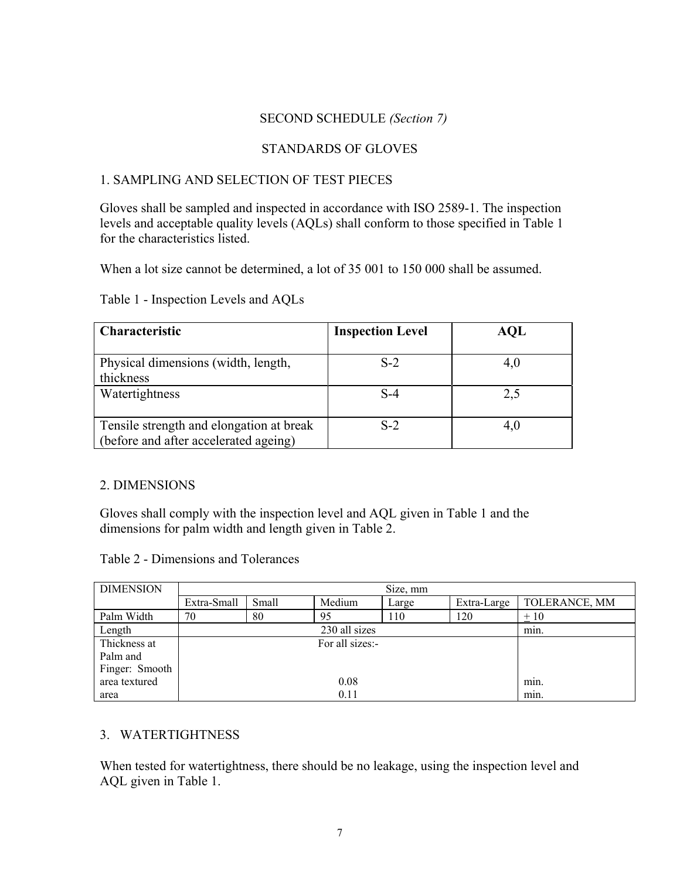## SECOND SCHEDULE *(Section 7)*

# STANDARDS OF GLOVES

# 1. SAMPLING AND SELECTION OF TEST PIECES

Gloves shall be sampled and inspected in accordance with ISO 2589-1. The inspection levels and acceptable quality levels (AQLs) shall conform to those specified in Table 1 for the characteristics listed.

When a lot size cannot be determined, a lot of 35 001 to 150 000 shall be assumed.

Table 1 - Inspection Levels and AQLs

| <b>Characteristic</b>                                                             | <b>Inspection Level</b> | AQL |
|-----------------------------------------------------------------------------------|-------------------------|-----|
| Physical dimensions (width, length,<br>thickness                                  | $S-2$                   | 4.U |
| Watertightness                                                                    | $S-4$                   | 2,5 |
| Tensile strength and elongation at break<br>(before and after accelerated ageing) | $S-2$                   |     |

# 2. DIMENSIONS

Gloves shall comply with the inspection level and AQL given in Table 1 and the dimensions for palm width and length given in Table 2.

|  | Table 2 - Dimensions and Tolerances |  |  |
|--|-------------------------------------|--|--|
|--|-------------------------------------|--|--|

| <b>DIMENSION</b>      | Size, mm        |       |               |       |             |               |
|-----------------------|-----------------|-------|---------------|-------|-------------|---------------|
|                       | Extra-Small     | Small | Medium        | Large | Extra-Large | TOLERANCE, MM |
| Palm Width            | 70              | 80    | 95            | 110   | 120         | $+10$         |
| Length                |                 |       | 230 all sizes |       |             | min.          |
| Thickness at          | For all sizes:- |       |               |       |             |               |
| Palm and              |                 |       |               |       |             |               |
| Finger: Smooth        |                 |       |               |       |             |               |
| area textured<br>0.08 |                 |       |               | min.  |             |               |
| area                  | 0.11            |       |               | min.  |             |               |

# 3. WATERTIGHTNESS

When tested for watertightness, there should be no leakage, using the inspection level and AQL given in Table 1.